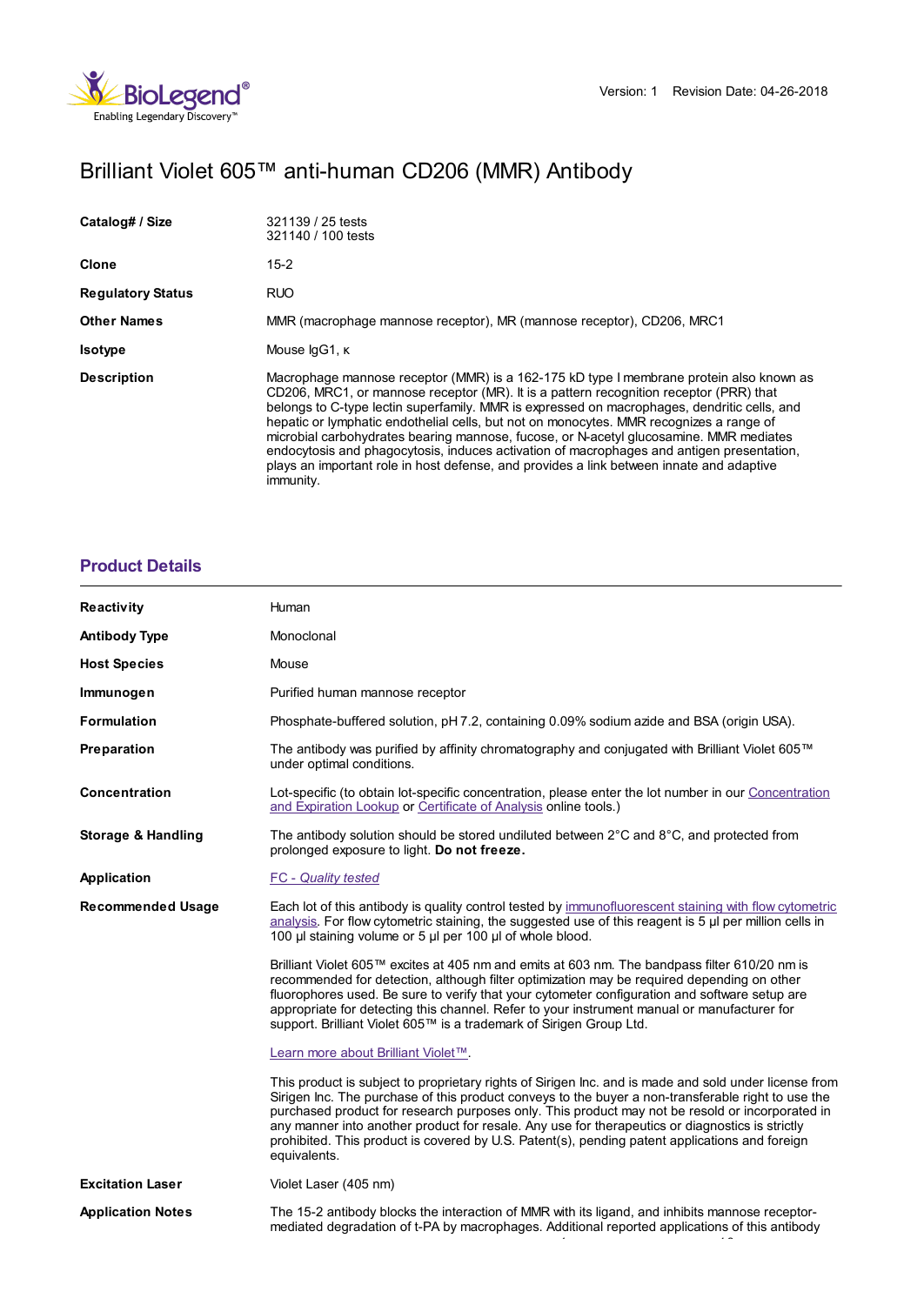# Brilliant Violet 605™ anti-human CD206 (MMR) Antibody

| Catalog# / Size          | 321139 / 25 tests<br>321140 / 100 tests                                                                                                                                                                                                                                                                                                                                                                                                                                                                                                                                                                                                                                     |
|--------------------------|-----------------------------------------------------------------------------------------------------------------------------------------------------------------------------------------------------------------------------------------------------------------------------------------------------------------------------------------------------------------------------------------------------------------------------------------------------------------------------------------------------------------------------------------------------------------------------------------------------------------------------------------------------------------------------|
| Clone                    | $15-2$                                                                                                                                                                                                                                                                                                                                                                                                                                                                                                                                                                                                                                                                      |
| <b>Regulatory Status</b> | <b>RUO</b>                                                                                                                                                                                                                                                                                                                                                                                                                                                                                                                                                                                                                                                                  |
| <b>Other Names</b>       | MMR (macrophage mannose receptor), MR (mannose receptor), CD206, MRC1                                                                                                                                                                                                                                                                                                                                                                                                                                                                                                                                                                                                       |
| <b>Isotype</b>           | Mouse IgG1, K                                                                                                                                                                                                                                                                                                                                                                                                                                                                                                                                                                                                                                                               |
| <b>Description</b>       | Macrophage mannose receptor (MMR) is a 162-175 kD type I membrane protein also known as<br>CD206, MRC1, or mannose receptor (MR). It is a pattern recognition receptor (PRR) that<br>belongs to C-type lectin superfamily. MMR is expressed on macrophages, dendritic cells, and<br>hepatic or lymphatic endothelial cells, but not on monocytes. MMR recognizes a range of<br>microbial carbohydrates bearing mannose, fucose, or N-acetyl glucosamine. MMR mediates<br>endocytosis and phagocytosis, induces activation of macrophages and antigen presentation,<br>plays an important role in host defense, and provides a link between innate and adaptive<br>immunity. |

### **[Product](https://production-dynamicweb.biolegend.com/nl-nl/products/brilliant-violet-605-anti-human-cd206-antibody-15748?pdf=true&displayInline=true&leftRightMargin=15&topBottomMargin=15&filename=Brilliant Violet 605%EF%BF%BD%EF%BF%BD%EF%BF%BD anti-human CD206 (MMR) Antibody.pdf#productDetails) Details**

| Reactivity                    | Human                                                                                                                                                                                                                                                                                                                                                                                                                                                                                                                               |
|-------------------------------|-------------------------------------------------------------------------------------------------------------------------------------------------------------------------------------------------------------------------------------------------------------------------------------------------------------------------------------------------------------------------------------------------------------------------------------------------------------------------------------------------------------------------------------|
| <b>Antibody Type</b>          | Monoclonal                                                                                                                                                                                                                                                                                                                                                                                                                                                                                                                          |
| <b>Host Species</b>           | Mouse                                                                                                                                                                                                                                                                                                                                                                                                                                                                                                                               |
| Immunogen                     | Purified human mannose receptor                                                                                                                                                                                                                                                                                                                                                                                                                                                                                                     |
| <b>Formulation</b>            | Phosphate-buffered solution, pH 7.2, containing 0.09% sodium azide and BSA (origin USA).                                                                                                                                                                                                                                                                                                                                                                                                                                            |
| Preparation                   | The antibody was purified by affinity chromatography and conjugated with Brilliant Violet 605™<br>under optimal conditions.                                                                                                                                                                                                                                                                                                                                                                                                         |
| Concentration                 | Lot-specific (to obtain lot-specific concentration, please enter the lot number in our Concentration<br>and Expiration Lookup or Certificate of Analysis online tools.)                                                                                                                                                                                                                                                                                                                                                             |
| <b>Storage &amp; Handling</b> | The antibody solution should be stored undiluted between $2^{\circ}$ C and $8^{\circ}$ C, and protected from<br>prolonged exposure to light. Do not freeze.                                                                                                                                                                                                                                                                                                                                                                         |
| <b>Application</b>            | <b>FC</b> - Quality tested                                                                                                                                                                                                                                                                                                                                                                                                                                                                                                          |
| <b>Recommended Usage</b>      | Each lot of this antibody is quality control tested by immunofluorescent staining with flow cytometric<br>analysis. For flow cytometric staining, the suggested use of this reagent is $5 \mu$ per million cells in<br>100 µl staining volume or 5 µl per 100 µl of whole blood.                                                                                                                                                                                                                                                    |
|                               | Brilliant Violet 605™ excites at 405 nm and emits at 603 nm. The bandpass filter 610/20 nm is<br>recommended for detection, although filter optimization may be required depending on other<br>fluorophores used. Be sure to verify that your cytometer configuration and software setup are<br>appropriate for detecting this channel. Refer to your instrument manual or manufacturer for<br>support. Brilliant Violet 605™ is a trademark of Sirigen Group Ltd.                                                                  |
|                               | Learn more about Brilliant Violet™.                                                                                                                                                                                                                                                                                                                                                                                                                                                                                                 |
|                               | This product is subject to proprietary rights of Sirigen Inc. and is made and sold under license from<br>Sirigen Inc. The purchase of this product conveys to the buyer a non-transferable right to use the<br>purchased product for research purposes only. This product may not be resold or incorporated in<br>any manner into another product for resale. Any use for therapeutics or diagnostics is strictly<br>prohibited. This product is covered by U.S. Patent(s), pending patent applications and foreign<br>equivalents. |
| <b>Excitation Laser</b>       | Violet Laser (405 nm)                                                                                                                                                                                                                                                                                                                                                                                                                                                                                                               |
| <b>Application Notes</b>      | The 15-2 antibody blocks the interaction of MMR with its ligand, and inhibits mannose receptor-<br>mediated degradation of t-PA by macrophages. Additional reported applications of this antibody                                                                                                                                                                                                                                                                                                                                   |

1 1,2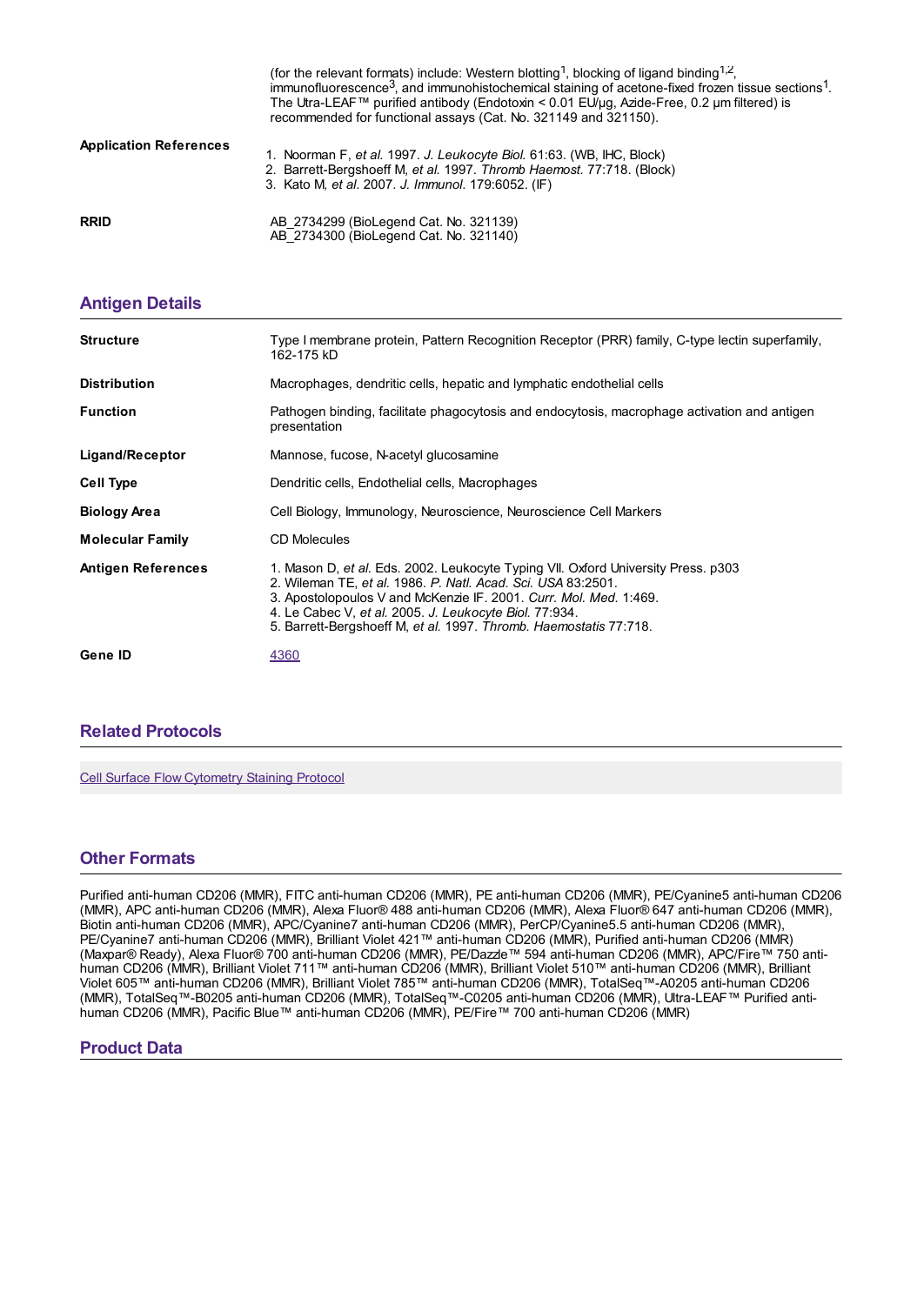|                               | (for the relevant formats) include: Western blotting <sup>1</sup> , blocking of ligand binding <sup>1,2</sup> ,<br>immunofluorescence <sup>3</sup> , and immunohistochemical staining of acetone-fixed frozen tissue sections <sup>1</sup> .<br>The Utra-LEAF™ purified antibody (Endotoxin < 0.01 EU/µg, Azide-Free, 0.2 µm filtered) is<br>recommended for functional assays (Cat. No. 321149 and 321150). |
|-------------------------------|--------------------------------------------------------------------------------------------------------------------------------------------------------------------------------------------------------------------------------------------------------------------------------------------------------------------------------------------------------------------------------------------------------------|
| <b>Application References</b> | 1. Noorman F, et al. 1997. J. Leukocyte Biol. 61:63. (WB, IHC, Block)<br>2. Barrett-Bergshoeff M, et al. 1997. Thromb Haemost. 77:718. (Block)<br>3. Kato M, et al. 2007. J. Immunol. 179:6052. (IF)                                                                                                                                                                                                         |
| <b>RRID</b>                   | AB 2734299 (BioLegend Cat. No. 321139)<br>AB 2734300 (BioLegend Cat. No. 321140)                                                                                                                                                                                                                                                                                                                             |

## **[Antigen](https://production-dynamicweb.biolegend.com/nl-nl/products/brilliant-violet-605-anti-human-cd206-antibody-15748?pdf=true&displayInline=true&leftRightMargin=15&topBottomMargin=15&filename=Brilliant Violet 605%EF%BF%BD%EF%BF%BD%EF%BF%BD anti-human CD206 (MMR) Antibody.pdf#antigenDetails) Details**

| <b>Structure</b>          | Type I membrane protein, Pattern Recognition Receptor (PRR) family, C-type lectin superfamily,<br>162-175 kD                                                                                                                                                                                                                                          |
|---------------------------|-------------------------------------------------------------------------------------------------------------------------------------------------------------------------------------------------------------------------------------------------------------------------------------------------------------------------------------------------------|
| <b>Distribution</b>       | Macrophages, dendritic cells, hepatic and lymphatic endothelial cells                                                                                                                                                                                                                                                                                 |
| <b>Function</b>           | Pathogen binding, facilitate phagocytosis and endocytosis, macrophage activation and antigen<br>presentation                                                                                                                                                                                                                                          |
| Ligand/Receptor           | Mannose, fucose, N-acetyl glucosamine                                                                                                                                                                                                                                                                                                                 |
| <b>Cell Type</b>          | Dendritic cells, Endothelial cells, Macrophages                                                                                                                                                                                                                                                                                                       |
| <b>Biology Area</b>       | Cell Biology, Immunology, Neuroscience, Neuroscience Cell Markers                                                                                                                                                                                                                                                                                     |
| <b>Molecular Family</b>   | <b>CD Molecules</b>                                                                                                                                                                                                                                                                                                                                   |
| <b>Antigen References</b> | 1. Mason D, et al. Eds. 2002. Leukocyte Typing VII. Oxford University Press. p303<br>2. Wileman TE, et al. 1986. P. Natl. Acad. Sci. USA 83:2501.<br>3. Apostolopoulos V and McKenzie IF. 2001. Curr. Mol. Med. 1:469.<br>4. Le Cabec V, et al. 2005. J. Leukocyte Biol. 77:934.<br>5. Barrett-Bergshoeff M, et al. 1997. Thromb. Haemostatis 77:718. |
| Gene ID                   | 4360                                                                                                                                                                                                                                                                                                                                                  |

### **Related [Protocols](https://production-dynamicweb.biolegend.com/nl-nl/products/brilliant-violet-605-anti-human-cd206-antibody-15748?pdf=true&displayInline=true&leftRightMargin=15&topBottomMargin=15&filename=Brilliant Violet 605%EF%BF%BD%EF%BF%BD%EF%BF%BD anti-human CD206 (MMR) Antibody.pdf#productRelatedProtocols)**

Cell Surface Flow [Cytometry](https://www.biolegend.com/protocols/cell-surface-flow-cytometry-staining-protocol/4283/) Staining Protocol

### **Other [Formats](https://production-dynamicweb.biolegend.com/nl-nl/products/brilliant-violet-605-anti-human-cd206-antibody-15748?pdf=true&displayInline=true&leftRightMargin=15&topBottomMargin=15&filename=Brilliant Violet 605%EF%BF%BD%EF%BF%BD%EF%BF%BD anti-human CD206 (MMR) Antibody.pdf#productOtherFormats)**

Purified anti-human CD206 (MMR), FITC anti-human CD206 (MMR), PE anti-human CD206 (MMR), PE/Cyanine5 anti-human CD206 (MMR), APC anti-human CD206 (MMR), Alexa Fluor® 488 anti-human CD206 (MMR), Alexa Fluor® 647 anti-human CD206 (MMR), Biotin anti-human CD206 (MMR), APC/Cyanine7 anti-human CD206 (MMR), PerCP/Cyanine5.5 anti-human CD206 (MMR), PE/Cyanine7 anti-human CD206 (MMR), Brilliant Violet 421™ anti-human CD206 (MMR), Purified anti-human CD206 (MMR) (Maxpar® Ready), Alexa Fluor® 700 anti-human CD206 (MMR), PE/Dazzle™ 594 anti-human CD206 (MMR), APC/Fire™ 750 antihuman CD206 (MMR), Brilliant Violet 711™ anti-human CD206 (MMR), Brilliant Violet 510™ anti-human CD206 (MMR), Brilliant Violet 605™ anti-human CD206 (MMR), Brilliant Violet 785™ anti-human CD206 (MMR), TotalSeq™-A0205 anti-human CD206 (MMR), TotalSeq™-B0205 anti-human CD206 (MMR), TotalSeq™-C0205 anti-human CD206 (MMR), Ultra-LEAF™ Purified antihuman CD206 (MMR), Pacific Blue™ anti-human CD206 (MMR), PE/Fire™ 700 anti-human CD206 (MMR)

#### **Product Data**